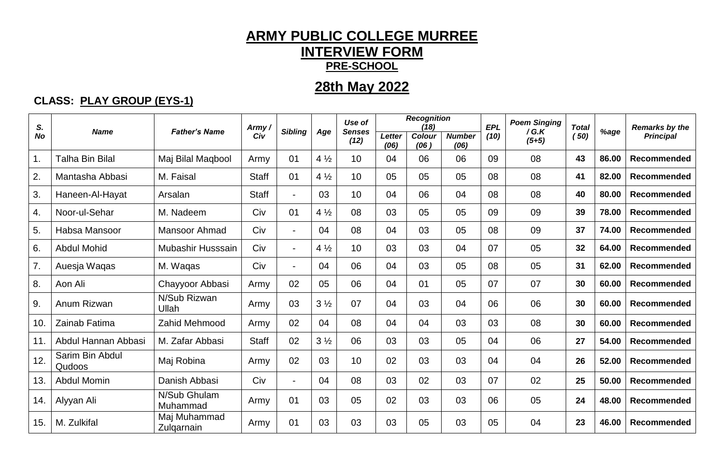#### **ARMY PUBLIC COLLEGE MURREE INTERVIEW FORM PRE-SCHOOL**

### **28th May 2022**

#### **CLASS: PLAY GROUP (EYS-1)**

| S.        |                           |                            | Army.        |                          |                | Use of                |                | <b>Recognition</b><br>(18) |                       | <b>EPL</b> | <b>Poem Singing</b> | <b>Total</b> |       | <b>Remarks by the</b> |
|-----------|---------------------------|----------------------------|--------------|--------------------------|----------------|-----------------------|----------------|----------------------------|-----------------------|------------|---------------------|--------------|-------|-----------------------|
| <b>No</b> | <b>Name</b>               | <b>Father's Name</b>       | Civ          | <b>Sibling</b>           | Age            | <b>Senses</b><br>(12) | Letter<br>(06) | Colour<br>(06)             | <b>Number</b><br>(06) | (10)       | /G.K<br>$(5+5)$     | (50)         | %age  | <b>Principal</b>      |
| 1.        | <b>Talha Bin Bilal</b>    | Maj Bilal Maqbool          | Army         | 01                       | $4\frac{1}{2}$ | 10                    | 04             | 06                         | 06                    | 09         | 08                  | 43           | 86.00 | <b>Recommended</b>    |
| 2.        | Mantasha Abbasi           | M. Faisal                  | <b>Staff</b> | 01                       | $4\frac{1}{2}$ | 10                    | 05             | 05                         | 05                    | 08         | 08                  | 41           | 82.00 | Recommended           |
| 3.        | Haneen-Al-Hayat           | Arsalan                    | <b>Staff</b> | $\blacksquare$           | 03             | 10                    | 04             | 06                         | 04                    | 08         | 08                  | 40           | 80.00 | Recommended           |
| 4.        | Noor-ul-Sehar             | M. Nadeem                  | Civ          | 01                       | $4\frac{1}{2}$ | 08                    | 03             | 05                         | 05                    | 09         | 09                  | 39           | 78.00 | Recommended           |
| 5.        | Habsa Mansoor             | <b>Mansoor Ahmad</b>       | Civ          | $\overline{\phantom{0}}$ | 04             | 08                    | 04             | 03                         | 05                    | 08         | 09                  | 37           | 74.00 | Recommended           |
| 6.        | <b>Abdul Mohid</b>        | Mubashir Husssain          | Civ          | $\blacksquare$           | $4\frac{1}{2}$ | 10                    | 03             | 03                         | 04                    | 07         | 05                  | 32           | 64.00 | Recommended           |
| 7.        | Auesja Waqas              | M. Waqas                   | Civ          | $\blacksquare$           | 04             | 06                    | 04             | 03                         | 05                    | 08         | 05                  | 31           | 62.00 | Recommended           |
| 8.        | Aon Ali                   | Chayyoor Abbasi            | Army         | 02                       | 05             | 06                    | 04             | 01                         | 05                    | 07         | 07                  | 30           | 60.00 | Recommended           |
| 9.        | Anum Rizwan               | N/Sub Rizwan<br>Ullah      | Army         | 03                       | $3\frac{1}{2}$ | 07                    | 04             | 03                         | 04                    | 06         | 06                  | 30           | 60.00 | <b>Recommended</b>    |
| 10.       | Zainab Fatima             | Zahid Mehmood              | Army         | 02                       | 04             | 08                    | 04             | 04                         | 03                    | 03         | 08                  | 30           | 60.00 | <b>Recommended</b>    |
| 11.       | Abdul Hannan Abbasi       | M. Zafar Abbasi            | <b>Staff</b> | 02                       | $3\frac{1}{2}$ | 06                    | 03             | 03                         | 05                    | 04         | 06                  | 27           | 54.00 | Recommended           |
| 12.       | Sarim Bin Abdul<br>Qudoos | Maj Robina                 | Army         | 02                       | 03             | 10                    | 02             | 03                         | 03                    | 04         | 04                  | 26           | 52.00 | Recommended           |
| 13.       | <b>Abdul Momin</b>        | Danish Abbasi              | Civ          | $\overline{\phantom{0}}$ | 04             | 08                    | 03             | 02                         | 03                    | 07         | 02                  | 25           | 50.00 | Recommended           |
| 14.       | Alyyan Ali                | N/Sub Ghulam<br>Muhammad   | Army         | 01                       | 03             | 05                    | 02             | 03                         | 03                    | 06         | 05                  | 24           | 48.00 | Recommended           |
| 15.       | M. Zulkifal               | Maj Muhammad<br>Zulgarnain | Army         | 01                       | 03             | 03                    | 03             | 05                         | 03                    | 05         | 04                  | 23           | 46.00 | Recommended           |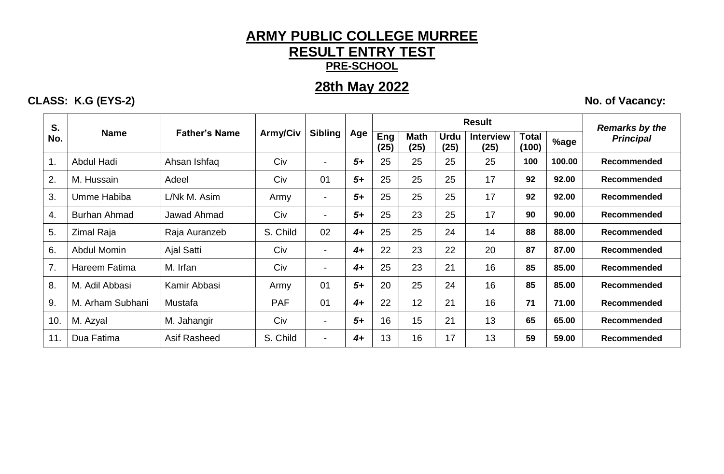#### **ARMY PUBLIC COLLEGE MURREE RESULT ENTRY TEST PRE-SCHOOL**

#### **28th May 2022**

#### **CLASS: K.G (EYS-2)** No. of Vacancy:

**S.** 

**No. Name Father's Name Army/Civ Sibling Age Result** *Remarks by the*  **Eng** Math Urdu Interview Total <sub>%age</sub> Principal **(25) Math (25) Urdu (25) Interview (25) Total (100) %age** 1. Abdul Hadi Ahsan Ishfaq Civ - *5+* 25 25 25 25 **100 100.00 Recommended** 2. M. Hussain Adeel Civ 01 *5+* 25 25 25 17 **92 92.00 Recommended** 3. | Umme Habiba | L/Nk M. Asim | Army | - | **5+** | 25 | 25 | 25 | 17 | **92 | 92.00** | **Recommended** 4. Burhan Ahmad Jawad Ahmad Civ - *5+* 25 23 25 17 **90 90.00 Recommended** 5. Zimal Raja Raja Auranzeb S. Child 02 *4+* 25 25 24 14 **88 88.00 Recommended** 6. Abdul Momin Ajal Satti Civ - *4+* 22 23 22 20 **87 87.00 Recommended** 7. | Hareem Fatima | M. Irfan | Civ | - | **4+** | 25 | 23 | 21 | 16 | **85 | 85.00 | Recommended** 8. M. Adil Abbasi Kamir Abbasi Army 01 *5+* 20 25 24 16 **85 85.00 Recommended** 9. M. Arham Subhani Mustafa PAF 01 *4+* 22 12 21 16 **71 71.00 Recommended** 10. M. Azyal M. Jahangir Civ - *5+* 16 15 21 13 **65 65.00 Recommended**

11. Dua Fatima Asif Rasheed S. Child - *4+* 13 16 17 13 **59 59.00 Recommended**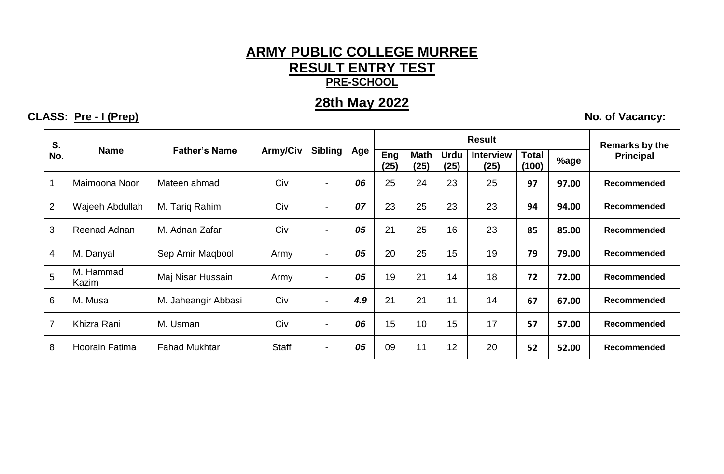#### **ARMY PUBLIC COLLEGE MURREE RESULT ENTRY TEST PRE-SCHOOL**

### **28th May 2022**

**CLASS: Pre - I (Prep) No. of Vacancy:** 

| S.  |                    |                      |          |                          |     |             |                     |                     | <b>Remarks by the</b>    |                       |       |                    |
|-----|--------------------|----------------------|----------|--------------------------|-----|-------------|---------------------|---------------------|--------------------------|-----------------------|-------|--------------------|
| No. | <b>Name</b>        | <b>Father's Name</b> | Army/Civ | <b>Sibling</b>           | Age | Eng<br>(25) | <b>Math</b><br>(25) | <b>Urdu</b><br>(25) | <b>Interview</b><br>(25) | <b>Total</b><br>(100) | %age  | <b>Principal</b>   |
| 1.  | Maimoona Noor      | Mateen ahmad         | Civ      | $\blacksquare$           | 06  | 25          | 24                  | 23                  | 25                       | 97                    | 97.00 | <b>Recommended</b> |
| 2.  | Wajeeh Abdullah    | M. Tariq Rahim       | Civ      | $\blacksquare$           | 07  | 23          | 25                  | 23                  | 23                       | 94                    | 94.00 | <b>Recommended</b> |
| 3.  | Reenad Adnan       | M. Adnan Zafar       | Civ      | $\blacksquare$           | 05  | 21          | 25                  | 16                  | 23                       | 85                    | 85.00 | <b>Recommended</b> |
| 4.  | M. Danyal          | Sep Amir Maqbool     | Army     | $\sim$                   | 05  | 20          | 25                  | 15                  | 19                       | 79                    | 79.00 | <b>Recommended</b> |
| 5.  | M. Hammad<br>Kazim | Maj Nisar Hussain    | Army     | $\overline{\phantom{0}}$ | 05  | 19          | 21                  | 14                  | 18                       | 72                    | 72.00 | <b>Recommended</b> |
| 6.  | M. Musa            | M. Jaheangir Abbasi  | Civ      | $\sim$                   | 4.9 | 21          | 21                  | 11                  | 14                       | 67                    | 67.00 | <b>Recommended</b> |
| 7.  | Khizra Rani        | M. Usman             | Civ      | $\blacksquare$           | 06  | 15          | 10                  | 15                  | 17                       | 57                    | 57.00 | Recommended        |
| 8.  | Hoorain Fatima     | <b>Fahad Mukhtar</b> | Staff    | $\blacksquare$           | 05  | 09          | 11                  | 12                  | 20                       | 52                    | 52.00 | <b>Recommended</b> |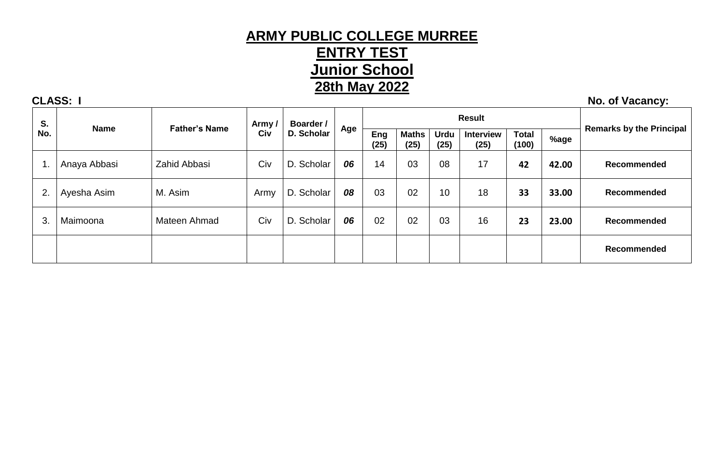### **ARMY PUBLIC COLLEGE MURREE ENTRY TEST Junior School 28th May 2022**

**S. Name Father's Name Army / Civ Boarder / D. Scholar Age Result Remarks by the Principal Eng** Maths Urdu Interview Total **Remarks by the Principal (25) Maths (25) Urdu (25) Interview (25) Total (100) %age** 1. Anaya Abbasi Zahid Abbasi Civ D. Scholar *06* 14 03 08 17 **42 42.00 Recommended** 2. | Ayesha Asim | M. Asim | Army | D. Scholar | **08** | 03 | 02 | 10 | 18 | **33 | 33.00** | R**ecommended** 3. Maimoona Mateen Ahmad Civ D. Scholar *06* 02 02 03 16 **23 23.00 Recommended Recommended**

**CLASS:** I No. of Vacancy: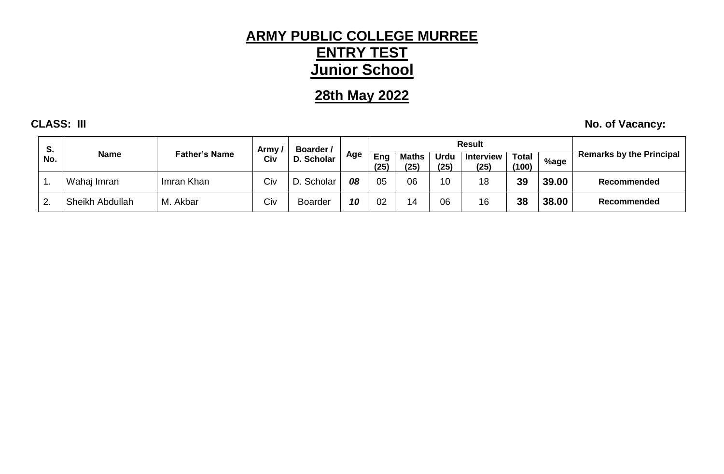# **ARMY PUBLIC COLLEGE MURREE ENTRY TEST Junior School**

# **28th May 2022**

**CLASS: III** No. of Vacancy:

| S. | <b>Name</b><br>No. | Father's Name | Army | <b>Boarder</b> /<br>D. Scholar |     |             |                      | <b>Result</b>       |                          |                       |       |                                 |
|----|--------------------|---------------|------|--------------------------------|-----|-------------|----------------------|---------------------|--------------------------|-----------------------|-------|---------------------------------|
|    |                    |               | Civ  |                                | Age | Eng<br>(25) | <b>Maths</b><br>(25) | <b>Urdu</b><br>(25) | <b>Interview</b><br>(25) | <b>Total</b><br>(100) | %age  | <b>Remarks by the Principal</b> |
|    | Wahaj Imran        | Imran Khan    | Civ  | . Scholar                      | 08  | 05          | 06                   |                     | 18                       | 39                    | 39.00 | Recommended                     |
|    | Sheikh Abdullah    | M. Akbar      | Civ  | <b>Boarder</b>                 | 10  | 02          | 14                   | 06                  | 16                       | 38                    | 38.00 | <b>Recommended</b>              |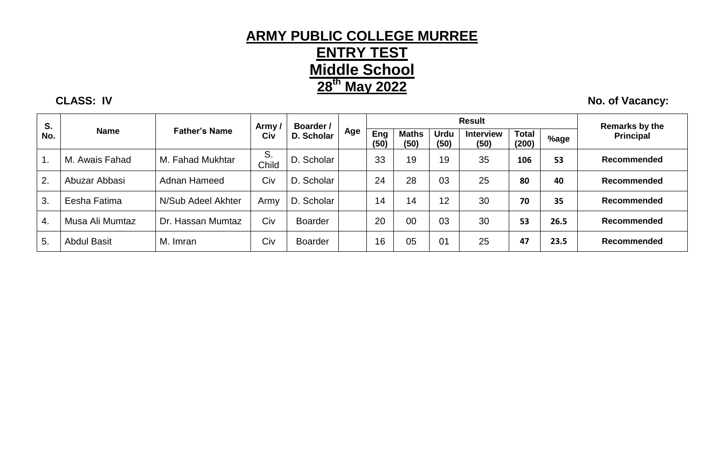### **ARMY PUBLIC COLLEGE MURREE ENTRY TEST Middle School 28 th May 2022**

**CLASS: IV** No. of Vacancy:

| S.  |                    |                      | Army        | Boarder /      |     |             |                      | <b>Result</b>       |                          | <b>Remarks by the</b> |      |                    |
|-----|--------------------|----------------------|-------------|----------------|-----|-------------|----------------------|---------------------|--------------------------|-----------------------|------|--------------------|
| No. | <b>Name</b>        | <b>Father's Name</b> | Civ         | D. Scholar     | Age | Eng<br>(50) | <b>Maths</b><br>(50) | <b>Urdu</b><br>(50) | <b>Interview</b><br>(50) | <b>Total</b><br>(200) | %age | <b>Principal</b>   |
|     | M. Awais Fahad     | M. Fahad Mukhtar     | S.<br>Child | D. Scholar     |     | 33          | 19                   | 19                  | 35                       | 106                   | 53   | <b>Recommended</b> |
| 2.  | Abuzar Abbasi      | Adnan Hameed         | Civ         | D. Scholar     |     | 24          | 28                   | 03                  | 25                       | 80                    | 40   | <b>Recommended</b> |
| 3.  | Eesha Fatima       | N/Sub Adeel Akhter   | Army        | D. Scholar     |     | 14          | 14                   | 12                  | 30                       | 70                    | 35   | <b>Recommended</b> |
| 4.  | Musa Ali Mumtaz    | Dr. Hassan Mumtaz    | Civ         | <b>Boarder</b> |     | 20          | 00                   | 03                  | 30                       | 53                    | 26.5 | <b>Recommended</b> |
| 5.  | <b>Abdul Basit</b> | M. Imran             | Civ         | Boarder        |     | 16          | 05                   | 01                  | 25                       | 47                    | 23.5 | <b>Recommended</b> |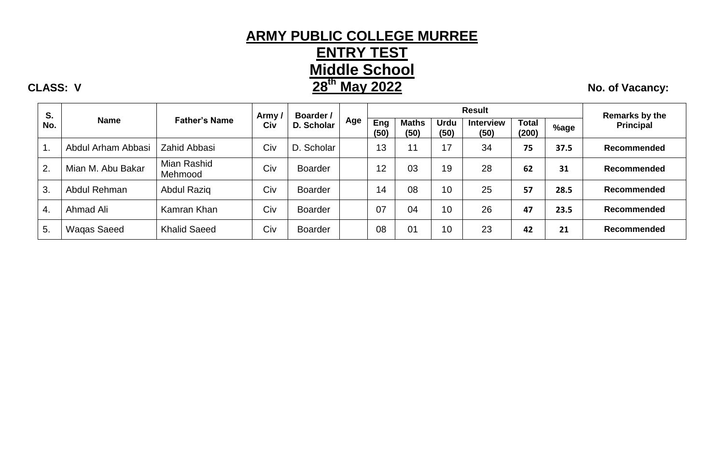# **ARMY PUBLIC COLLEGE MURREE ENTRY TEST Middle School th May** 2022 **No. of Vacancy:**

| S.  |                    |                        | Army / | Boarder /      |     |             |                      | <b>Result</b>       |                          | Remarks by the        |      |                    |
|-----|--------------------|------------------------|--------|----------------|-----|-------------|----------------------|---------------------|--------------------------|-----------------------|------|--------------------|
| No. | <b>Name</b>        | <b>Father's Name</b>   | Civ    | D. Scholar     | Age | Eng<br>(50) | <b>Maths</b><br>(50) | <b>Urdu</b><br>(50) | <b>Interview</b><br>(50) | <b>Total</b><br>(200) | %age | Principal          |
| 1.  | Abdul Arham Abbasi | Zahid Abbasi           | Civ    | D. Scholar     |     | 13          | 11                   | 17                  | 34                       | 75                    | 37.5 | <b>Recommended</b> |
| 2.  | Mian M. Abu Bakar  | Mian Rashid<br>Mehmood | Civ    | <b>Boarder</b> |     | 12          | 03                   | 19                  | 28                       | 62                    | 31   | <b>Recommended</b> |
| 3.  | Abdul Rehman       | <b>Abdul Razig</b>     | Civ    | <b>Boarder</b> |     | 14          | 08                   | 10                  | 25                       | 57                    | 28.5 | Recommended        |
| 4.  | Ahmad Ali          | Kamran Khan            | Civ    | <b>Boarder</b> |     | 07          | 04                   | 10                  | 26                       | 47                    | 23.5 | <b>Recommended</b> |
| 5.  | Wagas Saeed        | <b>Khalid Saeed</b>    | Civ    | <b>Boarder</b> |     | 08          | 01                   | 10                  | 23                       | 42                    | 21   | <b>Recommended</b> |

#### **CLASS: V 28**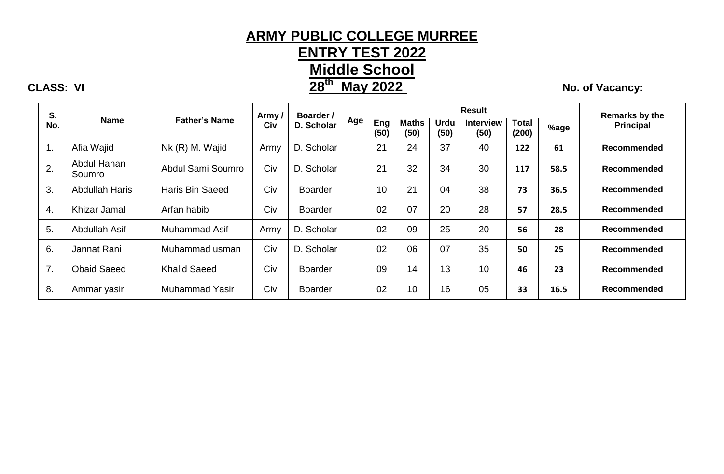# **ARMY PUBLIC COLLEGE MURREE**

**ENTRY TEST 2022**

**Middle School**

# **CLASS: VI** *28<sup>th</sup> May 2022* **<b>128 No. of Vacancy: No. of Vacancy:**

| S.  |                       |                        | Army / | <b>Boarder</b> / |     |             |                      |                     |                          | Remarks by the        |      |                    |
|-----|-----------------------|------------------------|--------|------------------|-----|-------------|----------------------|---------------------|--------------------------|-----------------------|------|--------------------|
| No. | <b>Name</b>           | <b>Father's Name</b>   | Civ    | D. Scholar       | Age | Eng<br>(50) | <b>Maths</b><br>(50) | <b>Urdu</b><br>(50) | <b>Interview</b><br>(50) | <b>Total</b><br>(200) | %age | <b>Principal</b>   |
| 1.  | Afia Wajid            | Nk (R) M. Wajid        | Army   | D. Scholar       |     | 21          | 24                   | 37                  | 40                       | 122                   | 61   | <b>Recommended</b> |
| 2.  | Abdul Hanan<br>Soumro | Abdul Sami Soumro      | Civ    | D. Scholar       |     | 21          | 32                   | 34                  | 30                       | 117                   | 58.5 | <b>Recommended</b> |
| 3.  | <b>Abdullah Haris</b> | <b>Haris Bin Saeed</b> | Civ    | <b>Boarder</b>   |     | 10          | 21                   | 04                  | 38                       | 73                    | 36.5 | <b>Recommended</b> |
| 4.  | Khizar Jamal          | Arfan habib            | Civ    | <b>Boarder</b>   |     | 02          | 07                   | 20                  | 28                       | 57                    | 28.5 | <b>Recommended</b> |
| 5.  | Abdullah Asif         | Muhammad Asif          | Army   | D. Scholar       |     | 02          | 09                   | 25                  | 20                       | 56                    | 28   | <b>Recommended</b> |
| 6.  | Jannat Rani           | Muhammad usman         | Civ    | D. Scholar       |     | 02          | 06                   | 07                  | 35                       | 50                    | 25   | <b>Recommended</b> |
| 7.  | <b>Obaid Saeed</b>    | <b>Khalid Saeed</b>    | Civ    | <b>Boarder</b>   |     | 09          | 14                   | 13                  | 10                       | 46                    | 23   | <b>Recommended</b> |
| 8.  | Ammar yasir           | Muhammad Yasir         | Civ    | <b>Boarder</b>   |     | 02          | 10                   | 16                  | 05                       | 33                    | 16.5 | <b>Recommended</b> |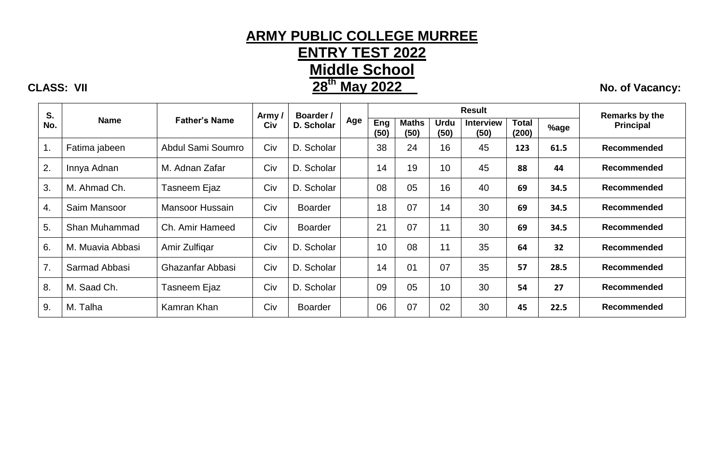# **ARMY PUBLIC COLLEGE MURREE ENTRY TEST 2022 Middle School 28<sup>th</sup> May 2022** No. of Vacancy:

**CLASS: VII 28**

| S.  |                  |                      | Army / | Boarder /      |     |             |                      |              |                          | <b>Remarks by the</b> |      |                    |
|-----|------------------|----------------------|--------|----------------|-----|-------------|----------------------|--------------|--------------------------|-----------------------|------|--------------------|
| No. | <b>Name</b>      | <b>Father's Name</b> | Civ    | D. Scholar     | Age | Eng<br>(50) | <b>Maths</b><br>(50) | Urdu<br>(50) | <b>Interview</b><br>(50) | <b>Total</b><br>(200) | %age | <b>Principal</b>   |
| 1.  | Fatima jabeen    | Abdul Sami Soumro    | Civ    | D. Scholar     |     | 38          | 24                   | 16           | 45                       | 123                   | 61.5 | Recommended        |
| 2.  | Innya Adnan      | M. Adnan Zafar       | Civ    | D. Scholar     |     | 14          | 19                   | 10           | 45                       | 88                    | 44   | Recommended        |
| 3.  | M. Ahmad Ch.     | Tasneem Ejaz         | Civ    | D. Scholar     |     | 08          | 05                   | 16           | 40                       | 69                    | 34.5 | Recommended        |
| 4.  | Saim Mansoor     | Mansoor Hussain      | Civ    | <b>Boarder</b> |     | 18          | 07                   | 14           | 30                       | 69                    | 34.5 | Recommended        |
| 5.  | Shan Muhammad    | Ch. Amir Hameed      | Civ    | <b>Boarder</b> |     | 21          | 07                   | 11           | 30                       | 69                    | 34.5 | <b>Recommended</b> |
| 6.  | M. Muavia Abbasi | Amir Zulfigar        | Civ    | D. Scholar     |     | 10          | 08                   | 11           | 35                       | 64                    | 32   | <b>Recommended</b> |
| 7.  | Sarmad Abbasi    | Ghazanfar Abbasi     | Civ    | D. Scholar     |     | 14          | 01                   | 07           | 35                       | 57                    | 28.5 | <b>Recommended</b> |
| 8.  | M. Saad Ch.      | Tasneem Ejaz         | Civ    | D. Scholar     |     | 09          | 05                   | 10           | 30                       | 54                    | 27   | <b>Recommended</b> |
| 9.  | M. Talha         | Kamran Khan          | Civ    | <b>Boarder</b> |     | 06          | 07                   | 02           | 30                       | 45                    | 22.5 | Recommended        |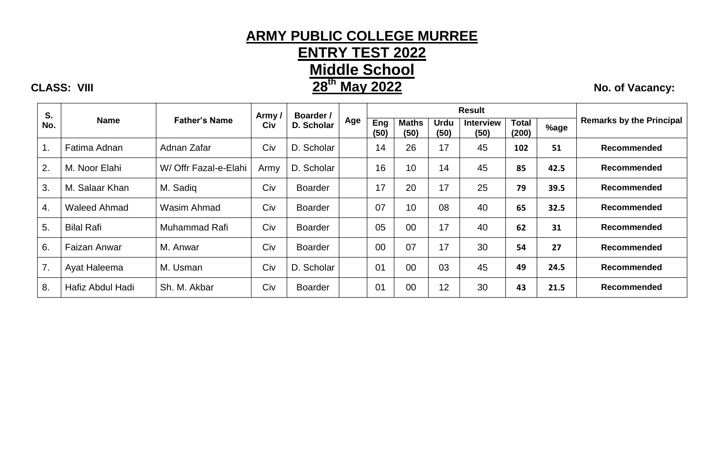# **ARMY PUBLIC COLLEGE MURREE ENTRY TEST 2022 Middle School 28<sup>th</sup> May 2022** No. of Vacancy:

| S.  |                     |                       | Army/ | Boarder /      |     |                |                      | <b>Result</b>       |                          |                       |      |                                 |
|-----|---------------------|-----------------------|-------|----------------|-----|----------------|----------------------|---------------------|--------------------------|-----------------------|------|---------------------------------|
| No. | <b>Name</b>         | <b>Father's Name</b>  | Civ   | D. Scholar     | Age | Eng<br>(50)    | <b>Maths</b><br>(50) | <b>Urdu</b><br>(50) | <b>Interview</b><br>(50) | <b>Total</b><br>(200) | %age | <b>Remarks by the Principal</b> |
| 1.  | Fatima Adnan        | Adnan Zafar           | Civ   | D. Scholar     |     | 14             | 26                   | 17                  | 45                       | 102                   | 51   | <b>Recommended</b>              |
| 2.  | M. Noor Elahi       | W/ Offr Fazal-e-Elahi | Army  | D. Scholar     |     | 16             | 10                   | 14                  | 45                       | 85                    | 42.5 | Recommended                     |
| 3.  | M. Salaar Khan      | M. Sadiq              | Civ   | <b>Boarder</b> |     | 17             | 20                   | 17                  | 25                       | 79                    | 39.5 | <b>Recommended</b>              |
| 4.  | <b>Waleed Ahmad</b> | Wasim Ahmad           | Civ   | <b>Boarder</b> |     | 07             | 10                   | 08                  | 40                       | 65                    | 32.5 | <b>Recommended</b>              |
| 5.  | <b>Bilal Rafi</b>   | Muhammad Rafi         | Civ   | <b>Boarder</b> |     | 05             | 00                   | 17                  | 40                       | 62                    | 31   | <b>Recommended</b>              |
| 6.  | <b>Faizan Anwar</b> | M. Anwar              | Civ   | Boarder        |     | 00             | 07                   | 17                  | 30                       | 54                    | 27   | <b>Recommended</b>              |
| 7.  | Ayat Haleema        | M. Usman              | Civ   | D. Scholar     |     | 01             | 00                   | 03                  | 45                       | 49                    | 24.5 | <b>Recommended</b>              |
| 8.  | Hafiz Abdul Hadi    | Sh. M. Akbar          | Civ   | <b>Boarder</b> |     | 0 <sub>1</sub> | 00                   | 12                  | 30                       | 43                    | 21.5 | <b>Recommended</b>              |

**CLASS: VIII 28**